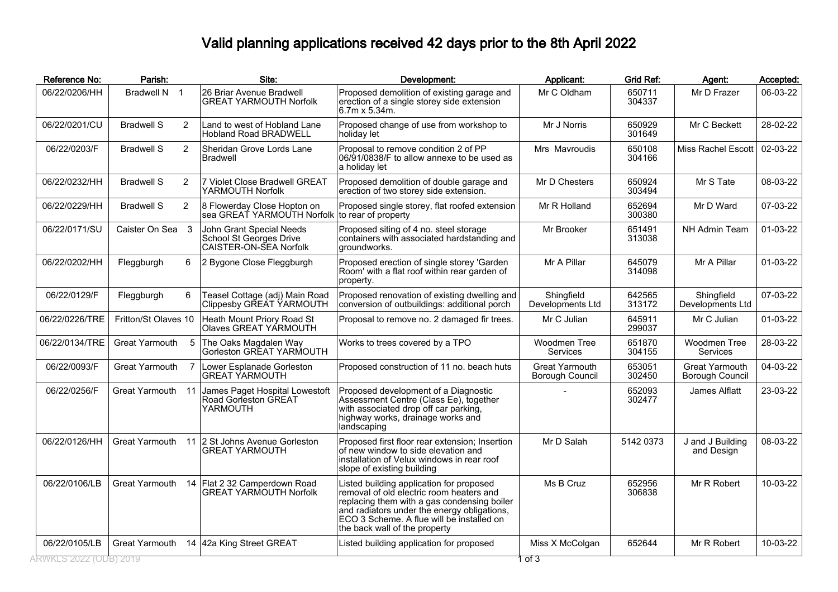## Valid planning applications received 42 days prior to the 8th April 2022

| Reference No:          | Parish:               |                | Site:                                                                         | Development:                                                                                                                                                                                                                                                     | Applicant:                               | <b>Grid Ref:</b> | Agent:                                   | Accepted: |
|------------------------|-----------------------|----------------|-------------------------------------------------------------------------------|------------------------------------------------------------------------------------------------------------------------------------------------------------------------------------------------------------------------------------------------------------------|------------------------------------------|------------------|------------------------------------------|-----------|
| 06/22/0206/HH          | Bradwell N 1          |                | 26 Briar Avenue Bradwell<br><b>GREAT YARMOUTH Norfolk</b>                     | Proposed demolition of existing garage and<br>erection of a single storey side extension<br>16.7m x 5.34m.                                                                                                                                                       | Mr C Oldham                              | 650711<br>304337 | Mr D Frazer                              | 06-03-22  |
| 06/22/0201/CU          | <b>Bradwell S</b>     | 2              | Land to west of Hobland Lane<br>Hobland Road BRADWELL                         | Proposed change of use from workshop to<br>holiday let                                                                                                                                                                                                           | Mr J Norris                              | 650929<br>301649 | Mr C Beckett                             | 28-02-22  |
| 06/22/0203/F           | <b>Bradwell S</b>     | $\overline{2}$ | Sheridan Grove Lords Lane<br><b>Bradwell</b>                                  | Proposal to remove condition 2 of PP<br>06/91/0838/F to allow annexe to be used as<br>a holiday let                                                                                                                                                              | Mrs Mavroudis                            | 650108<br>304166 | Miss Rachel Escott                       | 02-03-22  |
| 06/22/0232/HH          | <b>Bradwell S</b>     | $\overline{2}$ | 7 Violet Close Bradwell GREAT<br>YARMOUTH Norfolk                             | Proposed demolition of double garage and<br>erection of two storey side extension.                                                                                                                                                                               | Mr D Chesters                            | 650924<br>303494 | Mr S Tate                                | 08-03-22  |
| 06/22/0229/HH          | <b>Bradwell S</b>     | $\overline{2}$ | 8 Flowerday Close Hopton on<br>sea GREAT YARMOUTH Norfolk to rear of property | Proposed single storey, flat roofed extension                                                                                                                                                                                                                    | Mr R Holland                             | 652694<br>300380 | Mr D Ward                                | 07-03-22  |
| 06/22/0171/SU          | Caister On Sea 3      |                | John Grant Special Needs<br>School St Georges Drive<br>CAISTER-ON-SEA Norfolk | Proposed siting of 4 no. steel storage<br>containers with associated hardstanding and<br> groundworks.                                                                                                                                                           | Mr Brooker                               | 651491<br>313038 | NH Admin Team                            | 01-03-22  |
| 06/22/0202/HH          | Fleggburgh            | 6              | 2 Bygone Close Fleggburgh                                                     | Proposed erection of single storey 'Garden<br>Room' with a flat roof within rear garden of<br>property.                                                                                                                                                          | Mr A Pillar                              | 645079<br>314098 | Mr A Pillar                              | 01-03-22  |
| 06/22/0129/F           | Fleggburgh            | 6              | Teasel Cottage (adj) Main Road<br>Clippesby GREAT YARMOUTH                    | Proposed renovation of existing dwelling and<br>conversion of outbuildings: additional porch                                                                                                                                                                     | Shingfield<br>Developments Ltd           | 642565<br>313172 | Shingfield<br>Developments Ltd           | 07-03-22  |
| 06/22/0226/TRE         | Fritton/St Olaves 10  |                | Heath Mount Priory Road St<br>Olaves GREAT YARMOUTH                           | Proposal to remove no. 2 damaged fir trees.                                                                                                                                                                                                                      | Mr C Julian                              | 645911<br>299037 | Mr C Julian                              | 01-03-22  |
| 06/22/0134/TRE         | Great Yarmouth        | -5             | The Oaks Magdalen Way<br>Gorleston GREAT YARMOUTH                             | Works to trees covered by a TPO                                                                                                                                                                                                                                  | Woodmen Tree<br>Services                 | 651870<br>304155 | Woodmen Tree<br><b>Services</b>          | 28-03-22  |
| 06/22/0093/F           | Great Yarmouth        |                | Lower Esplanade Gorleston<br><b>GREAT YARMOUTH</b>                            | Proposed construction of 11 no. beach huts                                                                                                                                                                                                                       | <b>Great Yarmouth</b><br>Borough Council | 653051<br>302450 | <b>Great Yarmouth</b><br>Borough Council | 04-03-22  |
| 06/22/0256/F           | <b>Great Yarmouth</b> | 11             | James Paget Hospital Lowestoft<br>Road Gorleston GREAT<br>YARMOUTH            | Proposed development of a Diagnostic<br>Assessment Centre (Class Ee), together<br>with associated drop off car parking,<br>highway works, drainage works and<br>landscaping                                                                                      |                                          | 652093<br>302477 | James Alflatt                            | 23-03-22  |
| 06/22/0126/HH          | <b>Great Yarmouth</b> | 11             | 2 St Johns Avenue Gorleston<br><b>GREAT YARMOUTH</b>                          | Proposed first floor rear extension; Insertion<br>lof new window to side elevation and<br>linstallation of Velux windows in rear roof<br>slope of existing building                                                                                              | Mr D Salah                               | 5142 0373        | J and J Building<br>and Design           | 08-03-22  |
| 06/22/0106/LB          | <b>Great Yarmouth</b> | 14             | Flat 2 32 Camperdown Road<br>GREAT YARMOUTH Norfolk                           | Listed building application for proposed<br>removal of old electric room heaters and<br>replacing them with a gas condensing boiler<br>and radiators under the energy obligations,<br>ECO 3 Scheme. A flue will be installed on<br>the back wall of the property | Ms B Cruz                                | 652956<br>306838 | Mr R Robert                              | 10-03-22  |
| 06/22/0105/LB          | <b>Great Yarmouth</b> |                | 14 42a King Street GREAT                                                      | Listed building application for proposed                                                                                                                                                                                                                         | Miss X McColgan                          | 652644           | Mr R Robert                              | 10-03-22  |
| ARWKLS 2022 (ODB) 2019 |                       |                |                                                                               |                                                                                                                                                                                                                                                                  | 1 of 3                                   |                  |                                          |           |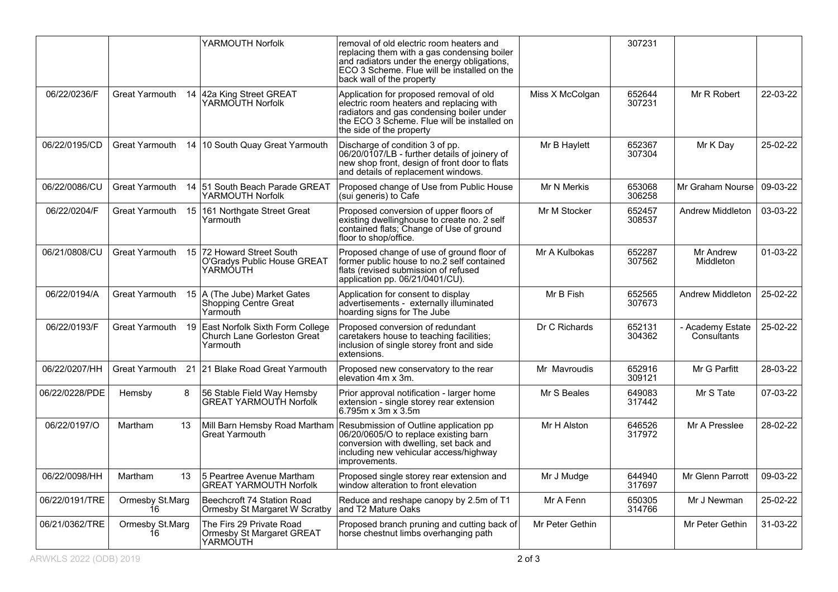|                |                       | YARMOUTH Norfolk                                                           | removal of old electric room heaters and                                                                                                                                                                           |                 | 307231           |                                 |          |
|----------------|-----------------------|----------------------------------------------------------------------------|--------------------------------------------------------------------------------------------------------------------------------------------------------------------------------------------------------------------|-----------------|------------------|---------------------------------|----------|
|                |                       |                                                                            | replacing them with a gas condensing boiler<br>and radiators under the energy obligations,<br>ECO 3 Scheme. Flue will be installed on the<br>back wall of the property                                             |                 |                  |                                 |          |
| 06/22/0236/F   | <b>Great Yarmouth</b> | 14 42a King Street GREAT<br>YARMOUTH Norfolk                               | Application for proposed removal of old<br>electric room heaters and replacing with<br>radiators and gas condensing boiler under<br>the ECO 3 Scheme. Flue will be installed on<br>the side of the property        | Miss X McColgan | 652644<br>307231 | Mr R Robert                     | 22-03-22 |
| 06/22/0195/CD  |                       | Great Yarmouth 14   10 South Quay Great Yarmouth                           | Discharge of condition 3 of pp.<br>06/20/0107/LB - further details of joinery of<br>new shop front, design of front door to flats<br>and details of replacement windows.                                           | Mr B Haylett    | 652367<br>307304 | Mr K Day                        | 25-02-22 |
| 06/22/0086/CU  | Great Yarmouth        | 14 51 South Beach Parade GREAT<br>YARMOUTH Norfolk                         | Proposed change of Use from Public House<br>(sui generis) to Cafe                                                                                                                                                  | Mr N Merkis     | 653068<br>306258 | Mr Graham Nourse                | 09-03-22 |
| 06/22/0204/F   |                       | Great Yarmouth 15 161 Northgate Street Great<br>Yarmouth                   | Proposed conversion of upper floors of<br>existing dwellinghouse to create no. 2 self<br>contained flats; Change of Use of ground<br>floor to shop/office.                                                         | Mr M Stocker    | 652457<br>308537 | <b>Andrew Middleton</b>         | 03-03-22 |
| 06/21/0808/CU  | Great Yarmouth        | 15 72 Howard Street South<br>O'Gradys Public House GREAT<br>YARMOUTH       | Proposed change of use of ground floor of<br>former public house to no.2 self contained<br>flats (revised submission of refused<br>application pp. 06/21/0401/CU).                                                 | Mr A Kulbokas   | 652287<br>307562 | Mr Andrew<br>Middleton          | 01-03-22 |
| 06/22/0194/A   | Great Yarmouth        | 15 A (The Jube) Market Gates<br>Shopping Centre Great<br>Yarmouth          | Application for consent to display<br>advertisements - externally illuminated<br>hoarding signs for The Jube                                                                                                       | Mr B Fish       | 652565<br>307673 | Andrew Middleton                | 25-02-22 |
| 06/22/0193/F   | Great Yarmouth<br>19  | East Norfolk Sixth Form College<br>Church Lane Gorleston Great<br>Yarmouth | Proposed conversion of redundant<br>caretakers house to teaching facilities;<br>inclusion of single storey front and side<br>extensions.                                                                           | Dr C Richards   | 652131<br>304362 | - Academy Estate<br>Consultants | 25-02-22 |
| 06/22/0207/HH  |                       | Great Yarmouth 21 21 Blake Road Great Yarmouth                             | Proposed new conservatory to the rear<br>elevation 4m x 3m.                                                                                                                                                        | Mr Mavroudis    | 652916<br>309121 | Mr G Parfitt                    | 28-03-22 |
| 06/22/0228/PDE | 8<br>Hemsby           | 56 Stable Field Way Hemsby<br><b>GREAT YARMOUTH Norfolk</b>                | Prior approval notification - larger home<br>extension - single storey rear extension<br>$6.795m \times 3m \times 3.5m$                                                                                            | Mr S Beales     | 649083<br>317442 | Mr S Tate                       | 07-03-22 |
| 06/22/0197/O   | Martham<br>13         | <b>Great Yarmouth</b>                                                      | Mill Barn Hemsby Road Martham Resubmission of Outline application pp<br>06/20/0605/O to replace existing barn<br>conversion with dwelling, set back and<br>including new vehicular access/highway<br>improvements. | Mr H Alston     | 646526<br>317972 | Mr A Presslee                   | 28-02-22 |
| 06/22/0098/HH  | Martham<br>13         | 5 Peartree Avenue Martham<br><b>GREAT YARMOUTH Norfolk</b>                 | Proposed single storey rear extension and<br>window alteration to front elevation                                                                                                                                  | Mr J Mudge      | 644940<br>317697 | Mr Glenn Parrott                | 09-03-22 |
| 06/22/0191/TRE | Ormesby St.Marg<br>16 | Beechcroft 74 Station Road<br>Ormesby St Margaret W Scratby                | Reduce and reshape canopy by 2.5m of T1<br>and T2 Mature Oaks                                                                                                                                                      | Mr A Fenn       | 650305<br>314766 | Mr J Newman                     | 25-02-22 |
| 06/21/0362/TRE | Ormesby St.Marg<br>16 | The Firs 29 Private Road<br>Ormesby St Margaret GREAT<br>YARMOUTH          | Proposed branch pruning and cutting back of<br>horse chestnut limbs overhanging path                                                                                                                               | Mr Peter Gethin |                  | Mr Peter Gethin                 | 31-03-22 |